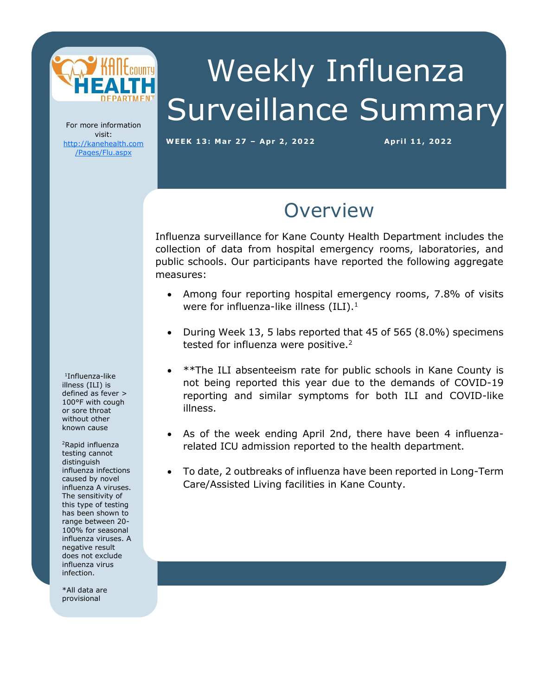

# Weekly Influenza Surveillance Summary

For more information visit: [http://kanehealth.com](http://kanehealth.com/Pages/Flu.aspx) [/Pages/Flu.aspx](http://kanehealth.com/Pages/Flu.aspx)

**WEEK 13: Mar 27 – Apr 2, 2 0 2 2 Apr i l 1 1, 2 0 22**

data that make this monitoring possible.

### **Overview**

Influenza surveillance for Kane County Health Department includes the collection of data from hospital emergency rooms, laboratories, and public schools. Our participants have reported the following aggregate measures:

- Among four reporting hospital emergency rooms, 7.8% of visits were for influenza-like illness  $(ILI).<sup>1</sup>$
- During Week 13, 5 labs reported that 45 of 565 (8.0%) specimens tested for influenza were positive.<sup>2</sup>
- \*\*The ILI absenteeism rate for public schools in Kane County is not being reported this year due to the demands of COVID-19 reporting and similar symptoms for both ILI and COVID-like illness.
- As of the week ending April 2nd, there have been 4 influenzarelated ICU admission reported to the health department.
- To date, 2 outbreaks of influenza have been reported in Long-Term Care/Assisted Living facilities in Kane County.

1 Influenza-like illness (ILI) is defined as fever > 100°F with cough or sore throat without other known cause

<sup>2</sup>Rapid influenza testing cannot distinguish influenza infections caused by novel influenza A viruses. The sensitivity of this type of testing has been shown to range between 20- 100% for seasonal influenza viruses. A negative result does not exclude influenza virus infection.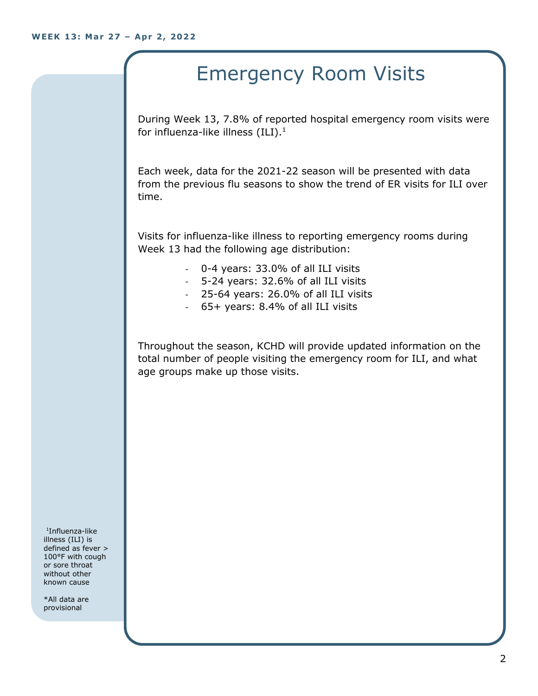## Emergency Room Visits

During Week 13, 7.8% of reported hospital emergency room visits were for influenza-like illness  $(III).<sup>1</sup>$ 

Each week, data for the 2021-22 season will be presented with data from the previous flu seasons to show the trend of ER visits for ILI over time.

Visits for influenza-like illness to reporting emergency rooms during Week 13 had the following age distribution:

- 0-4 years: 33.0% of all ILI visits
- 5-24 years: 32.6% of all ILI visits
- 25-64 years: 26.0% of all ILI visits
- 65+ years: 8.4% of all ILI visits

Throughout the season, KCHD will provide updated information on the total number of people visiting the emergency room for ILI, and what age groups make up those visits.

1 Influenza-like illness (ILI) is defined as fever > 100°F with cough or sore throat without other known cause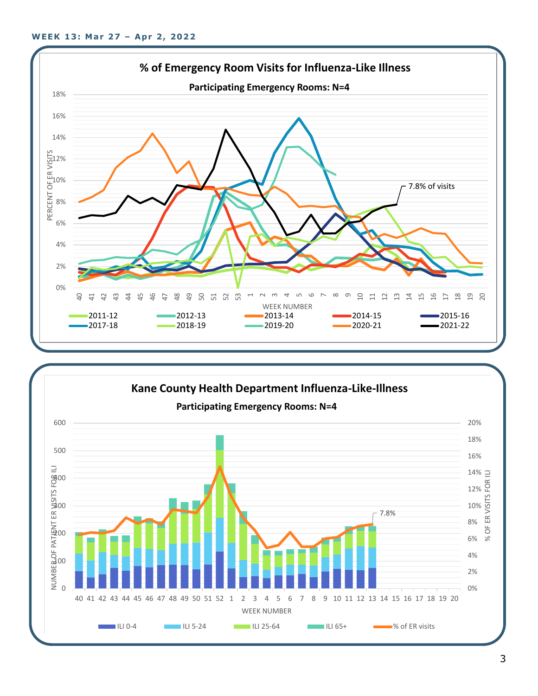

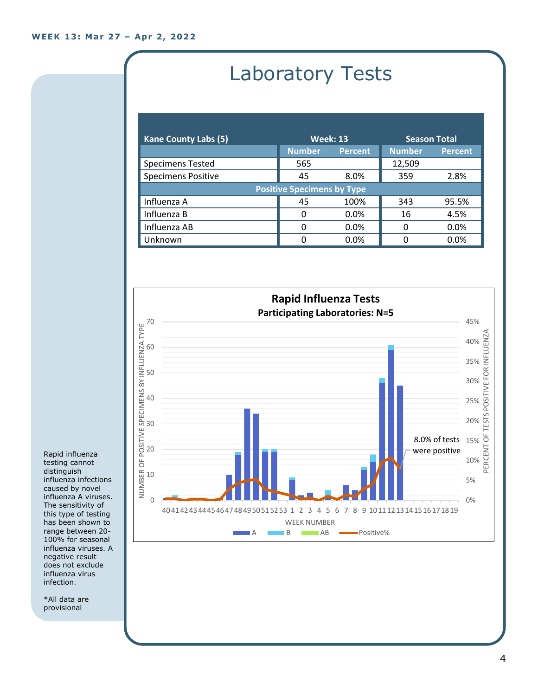# Laboratory Tests

| <b>Kane County Labs (5)</b>       | <b>Week: 13</b> |                | <b>Season Total</b> |                |
|-----------------------------------|-----------------|----------------|---------------------|----------------|
|                                   | <b>Number</b>   | <b>Percent</b> | <b>Number</b>       | <b>Percent</b> |
| <b>Specimens Tested</b>           | 565             |                | 12,509              |                |
| <b>Specimens Positive</b>         | 45              | 8.0%           | 359                 | 2.8%           |
| <b>Positive Specimens by Type</b> |                 |                |                     |                |
| Influenza A                       | 45              | 100%           | 343                 | 95.5%          |
| Influenza B                       | 0               | 0.0%           | 16                  | 4.5%           |
| Influenza AB                      | 0               | 0.0%           | 0                   | 0.0%           |
| Unknown                           | 0               | 0.0%           | n                   | 0.0%           |



Rapid influenza testing cannot distinguish influenza infections caused by novel influenza A viruses. The sensitivity of this type of testing has been shown to range between 20- 100% for seasonal influenza viruses. A negative result does not exclude influenza virus infection.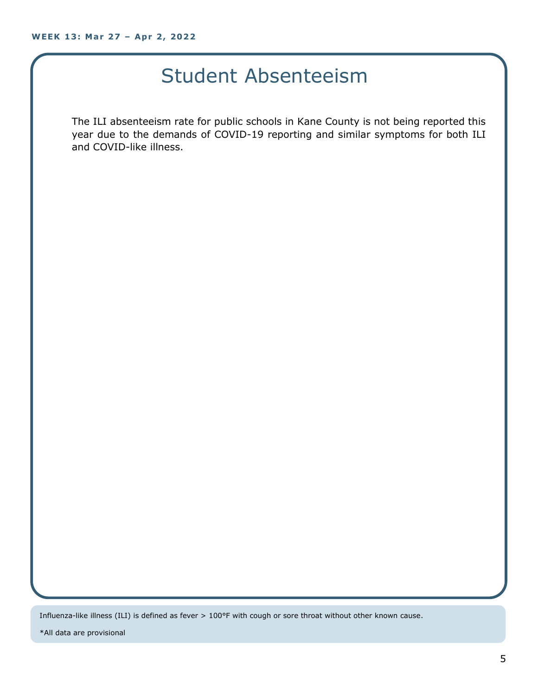### Student Absenteeism

The ILI absenteeism rate for public schools in Kane County is not being reported this year due to the demands of COVID-19 reporting and similar symptoms for both ILI and COVID-like illness.

Influenza-like illness (ILI) is defined as fever > 100°F with cough or sore throat without other known cause.